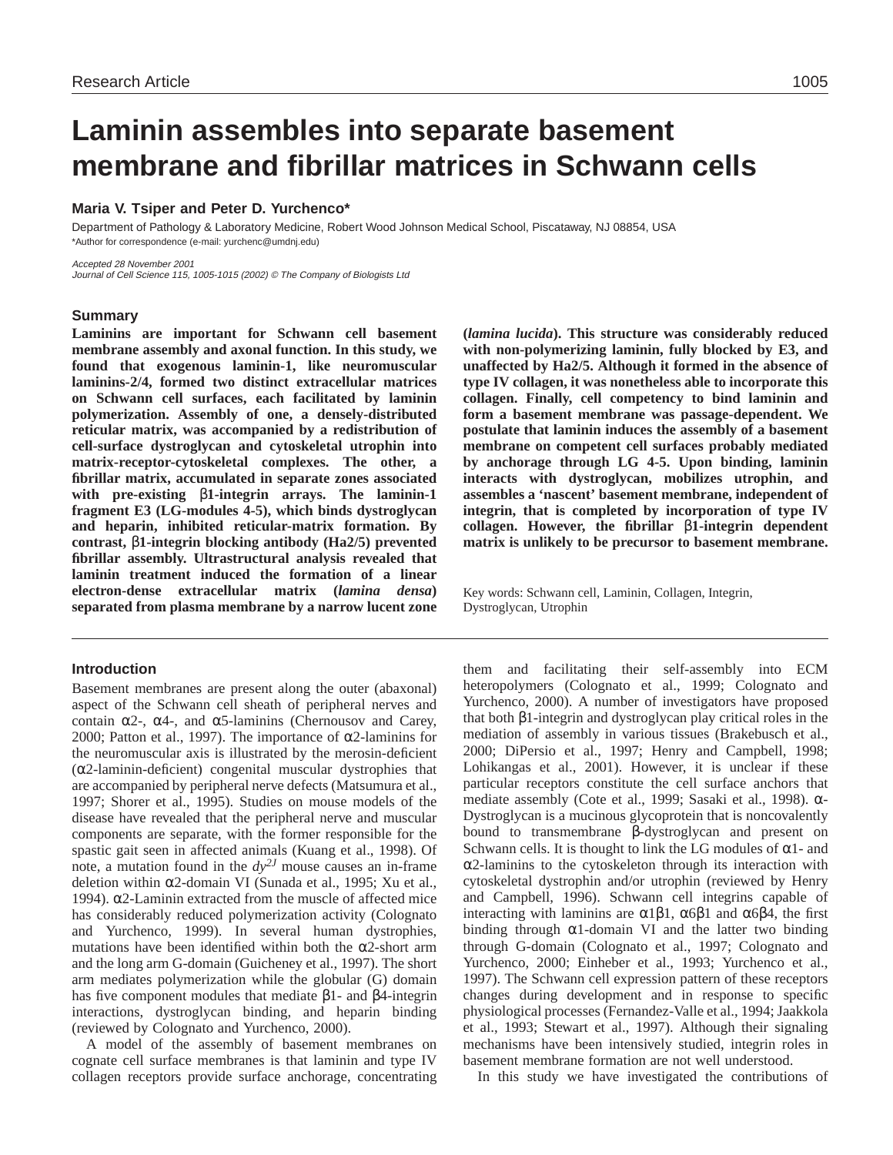# **Laminin assembles into separate basement membrane and fibrillar matrices in Schwann cells**

# **Maria V. Tsiper and Peter D. Yurchenco\***

Department of Pathology & Laboratory Medicine, Robert Wood Johnson Medical School, Piscataway, NJ 08854, USA \*Author for correspondence (e-mail: yurchenc@umdnj.edu)

Accepted 28 November 2001 Journal of Cell Science 115, 1005-1015 (2002) © The Company of Biologists Ltd

## **Summary**

**Laminins are important for Schwann cell basement membrane assembly and axonal function. In this study, we found that exogenous laminin-1, like neuromuscular laminins-2/4, formed two distinct extracellular matrices on Schwann cell surfaces, each facilitated by laminin polymerization. Assembly of one, a densely-distributed reticular matrix, was accompanied by a redistribution of cell-surface dystroglycan and cytoskeletal utrophin into matrix-receptor-cytoskeletal complexes. The other, a fibrillar matrix, accumulated in separate zones associated with pre-existing** β**1-integrin arrays. The laminin-1 fragment E3 (LG-modules 4-5), which binds dystroglycan and heparin, inhibited reticular-matrix formation. By contrast,** β**1-integrin blocking antibody (Ha2/5) prevented fibrillar assembly. Ultrastructural analysis revealed that laminin treatment induced the formation of a linear electron-dense extracellular matrix (***lamina densa***) separated from plasma membrane by a narrow lucent zone**

## **Introduction**

Basement membranes are present along the outer (abaxonal) aspect of the Schwann cell sheath of peripheral nerves and contain  $\alpha$ 2-,  $\alpha$ 4-, and  $\alpha$ 5-laminins (Chernousov and Carey, 2000; Patton et al., 1997). The importance of  $\alpha$ 2-laminins for the neuromuscular axis is illustrated by the merosin-deficient (α2-laminin-deficient) congenital muscular dystrophies that are accompanied by peripheral nerve defects (Matsumura et al., 1997; Shorer et al., 1995). Studies on mouse models of the disease have revealed that the peripheral nerve and muscular components are separate, with the former responsible for the spastic gait seen in affected animals (Kuang et al., 1998). Of note, a mutation found in the  $dy^{2J}$  mouse causes an in-frame deletion within α2-domain VI (Sunada et al., 1995; Xu et al., 1994). α2-Laminin extracted from the muscle of affected mice has considerably reduced polymerization activity (Colognato and Yurchenco, 1999). In several human dystrophies, mutations have been identified within both the  $\alpha$ 2-short arm and the long arm G-domain (Guicheney et al., 1997). The short arm mediates polymerization while the globular (G) domain has five component modules that mediate β1- and β4-integrin interactions, dystroglycan binding, and heparin binding (reviewed by Colognato and Yurchenco, 2000).

A model of the assembly of basement membranes on cognate cell surface membranes is that laminin and type IV collagen receptors provide surface anchorage, concentrating

**(***lamina lucida***). This structure was considerably reduced with non-polymerizing laminin, fully blocked by E3, and unaffected by Ha2/5. Although it formed in the absence of type IV collagen, it was nonetheless able to incorporate this collagen. Finally, cell competency to bind laminin and form a basement membrane was passage-dependent. We postulate that laminin induces the assembly of a basement membrane on competent cell surfaces probably mediated by anchorage through LG 4-5. Upon binding, laminin interacts with dystroglycan, mobilizes utrophin, and assembles a 'nascent' basement membrane, independent of integrin, that is completed by incorporation of type IV collagen. However, the fibrillar** β**1-integrin dependent matrix is unlikely to be precursor to basement membrane.**

Key words: Schwann cell, Laminin, Collagen, Integrin, Dystroglycan, Utrophin

them and facilitating their self-assembly into ECM heteropolymers (Colognato et al., 1999; Colognato and Yurchenco, 2000). A number of investigators have proposed that both β1-integrin and dystroglycan play critical roles in the mediation of assembly in various tissues (Brakebusch et al., 2000; DiPersio et al., 1997; Henry and Campbell, 1998; Lohikangas et al., 2001). However, it is unclear if these particular receptors constitute the cell surface anchors that mediate assembly (Cote et al., 1999; Sasaki et al., 1998). α-Dystroglycan is a mucinous glycoprotein that is noncovalently bound to transmembrane β-dystroglycan and present on Schwann cells. It is thought to link the LG modules of  $\alpha$ 1- and  $\alpha$ 2-laminins to the cytoskeleton through its interaction with cytoskeletal dystrophin and/or utrophin (reviewed by Henry and Campbell, 1996). Schwann cell integrins capable of interacting with laminins are  $\alpha$ 1β1,  $\alpha$ 6β1 and  $\alpha$ 6β4, the first binding through  $\alpha$ 1-domain VI and the latter two binding through G-domain (Colognato et al., 1997; Colognato and Yurchenco, 2000; Einheber et al., 1993; Yurchenco et al., 1997). The Schwann cell expression pattern of these receptors changes during development and in response to specific physiological processes (Fernandez-Valle et al., 1994; Jaakkola et al., 1993; Stewart et al., 1997). Although their signaling mechanisms have been intensively studied, integrin roles in basement membrane formation are not well understood.

In this study we have investigated the contributions of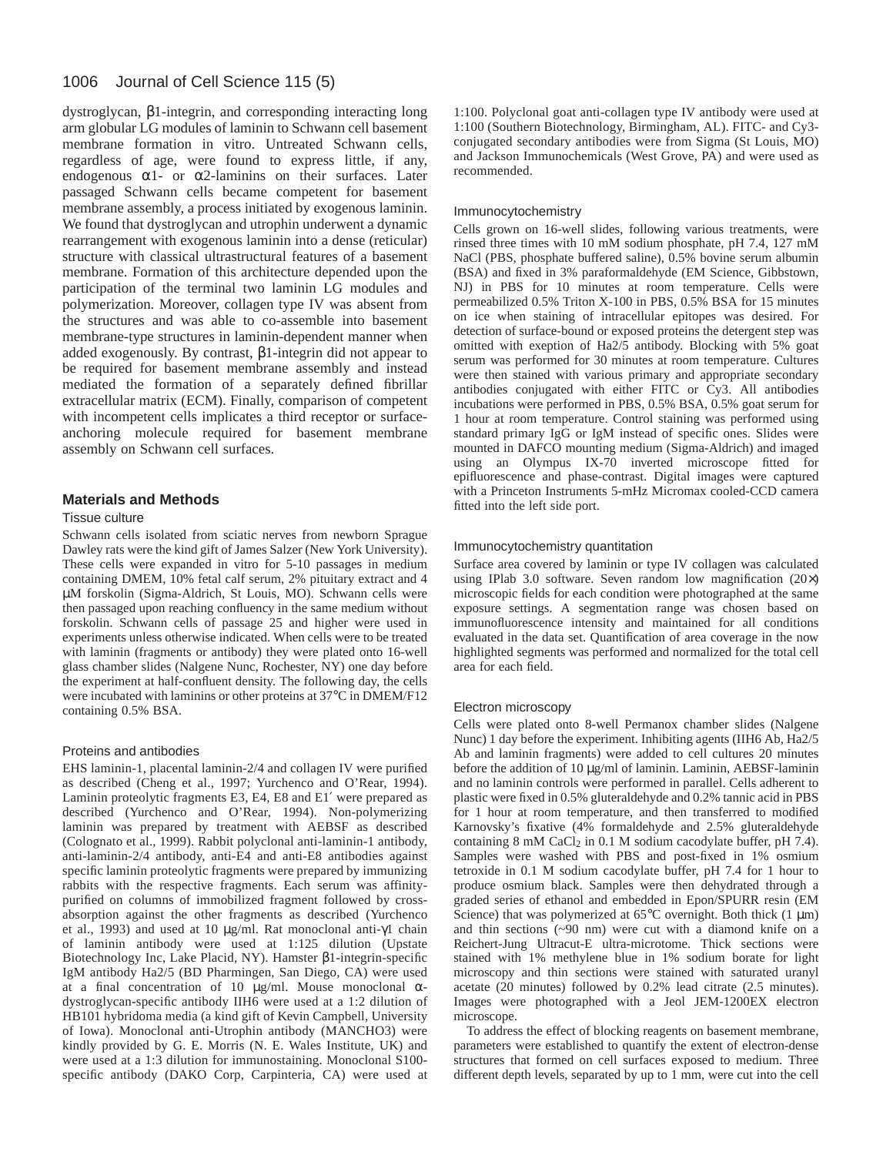dystroglycan, β1-integrin, and corresponding interacting long arm globular LG modules of laminin to Schwann cell basement membrane formation in vitro. Untreated Schwann cells, regardless of age, were found to express little, if any, endogenous  $\alpha$ 1- or  $\alpha$ 2-laminins on their surfaces. Later passaged Schwann cells became competent for basement membrane assembly, a process initiated by exogenous laminin. We found that dystroglycan and utrophin underwent a dynamic rearrangement with exogenous laminin into a dense (reticular) structure with classical ultrastructural features of a basement membrane. Formation of this architecture depended upon the participation of the terminal two laminin LG modules and polymerization. Moreover, collagen type IV was absent from the structures and was able to co-assemble into basement membrane-type structures in laminin-dependent manner when added exogenously. By contrast, β1-integrin did not appear to be required for basement membrane assembly and instead mediated the formation of a separately defined fibrillar extracellular matrix (ECM). Finally, comparison of competent with incompetent cells implicates a third receptor or surfaceanchoring molecule required for basement membrane assembly on Schwann cell surfaces.

### **Materials and Methods**

### Tissue culture

Schwann cells isolated from sciatic nerves from newborn Sprague Dawley rats were the kind gift of James Salzer (New York University). These cells were expanded in vitro for 5-10 passages in medium containing DMEM, 10% fetal calf serum, 2% pituitary extract and 4 µM forskolin (Sigma-Aldrich, St Louis, MO). Schwann cells were then passaged upon reaching confluency in the same medium without forskolin. Schwann cells of passage 25 and higher were used in experiments unless otherwise indicated. When cells were to be treated with laminin (fragments or antibody) they were plated onto 16-well glass chamber slides (Nalgene Nunc, Rochester, NY) one day before the experiment at half-confluent density. The following day, the cells were incubated with laminins or other proteins at 37°C in DMEM/F12 containing 0.5% BSA.

### Proteins and antibodies

EHS laminin-1, placental laminin-2/4 and collagen IV were purified as described (Cheng et al., 1997; Yurchenco and O'Rear, 1994). Laminin proteolytic fragments E3, E4, E8 and E1′ were prepared as described (Yurchenco and O'Rear, 1994). Non-polymerizing laminin was prepared by treatment with AEBSF as described (Colognato et al., 1999). Rabbit polyclonal anti-laminin-1 antibody, anti-laminin-2/4 antibody, anti-E4 and anti-E8 antibodies against specific laminin proteolytic fragments were prepared by immunizing rabbits with the respective fragments. Each serum was affinitypurified on columns of immobilized fragment followed by crossabsorption against the other fragments as described (Yurchenco et al., 1993) and used at 10 µg/ml. Rat monoclonal anti-γ1 chain of laminin antibody were used at 1:125 dilution (Upstate Biotechnology Inc, Lake Placid, NY). Hamster β1-integrin-specific IgM antibody Ha2/5 (BD Pharmingen, San Diego, CA) were used at a final concentration of 10  $\mu$ g/ml. Mouse monoclonal αdystroglycan-specific antibody IIH6 were used at a 1:2 dilution of HB101 hybridoma media (a kind gift of Kevin Campbell, University of Iowa). Monoclonal anti-Utrophin antibody (MANCHO3) were kindly provided by G. E. Morris (N. E. Wales Institute, UK) and were used at a 1:3 dilution for immunostaining. Monoclonal S100 specific antibody (DAKO Corp, Carpinteria, CA) were used at

1:100. Polyclonal goat anti-collagen type IV antibody were used at 1:100 (Southern Biotechnology, Birmingham, AL). FITC- and Cy3 conjugated secondary antibodies were from Sigma (St Louis, MO) and Jackson Immunochemicals (West Grove, PA) and were used as recommended.

### Immunocytochemistry

Cells grown on 16-well slides, following various treatments, were rinsed three times with 10 mM sodium phosphate, pH 7.4, 127 mM NaCl (PBS, phosphate buffered saline), 0.5% bovine serum albumin (BSA) and fixed in 3% paraformaldehyde (EM Science, Gibbstown, NJ) in PBS for 10 minutes at room temperature. Cells were permeabilized 0.5% Triton X-100 in PBS, 0.5% BSA for 15 minutes on ice when staining of intracellular epitopes was desired. For detection of surface-bound or exposed proteins the detergent step was omitted with exeption of Ha2/5 antibody. Blocking with 5% goat serum was performed for 30 minutes at room temperature. Cultures were then stained with various primary and appropriate secondary antibodies conjugated with either FITC or Cy3. All antibodies incubations were performed in PBS, 0.5% BSA, 0.5% goat serum for 1 hour at room temperature. Control staining was performed using standard primary IgG or IgM instead of specific ones. Slides were mounted in DAFCO mounting medium (Sigma-Aldrich) and imaged using an Olympus IX-70 inverted microscope fitted for epifluorescence and phase-contrast. Digital images were captured with a Princeton Instruments 5-mHz Micromax cooled-CCD camera fitted into the left side port.

### Immunocytochemistry quantitation

Surface area covered by laminin or type IV collagen was calculated using IPlab 3.0 software. Seven random low magnification (20×) microscopic fields for each condition were photographed at the same exposure settings. A segmentation range was chosen based on immunofluorescence intensity and maintained for all conditions evaluated in the data set. Quantification of area coverage in the now highlighted segments was performed and normalized for the total cell area for each field.

### Electron microscopy

Cells were plated onto 8-well Permanox chamber slides (Nalgene Nunc) 1 day before the experiment. Inhibiting agents (IIH6 Ab, Ha2/5 Ab and laminin fragments) were added to cell cultures 20 minutes before the addition of 10 µg/ml of laminin. Laminin, AEBSF-laminin and no laminin controls were performed in parallel. Cells adherent to plastic were fixed in 0.5% gluteraldehyde and 0.2% tannic acid in PBS for 1 hour at room temperature, and then transferred to modified Karnovsky's fixative (4% formaldehyde and 2.5% gluteraldehyde containing 8 mM CaCl2 in 0.1 M sodium cacodylate buffer, pH 7.4). Samples were washed with PBS and post-fixed in 1% osmium tetroxide in 0.1 M sodium cacodylate buffer, pH 7.4 for 1 hour to produce osmium black. Samples were then dehydrated through a graded series of ethanol and embedded in Epon/SPURR resin (EM Science) that was polymerized at  $65^{\circ}$ C overnight. Both thick (1 µm) and thin sections (~90 nm) were cut with a diamond knife on a Reichert-Jung Ultracut-E ultra-microtome. Thick sections were stained with 1% methylene blue in 1% sodium borate for light microscopy and thin sections were stained with saturated uranyl acetate (20 minutes) followed by 0.2% lead citrate (2.5 minutes). Images were photographed with a Jeol JEM-1200EX electron microscope.

To address the effect of blocking reagents on basement membrane, parameters were established to quantify the extent of electron-dense structures that formed on cell surfaces exposed to medium. Three different depth levels, separated by up to 1 mm, were cut into the cell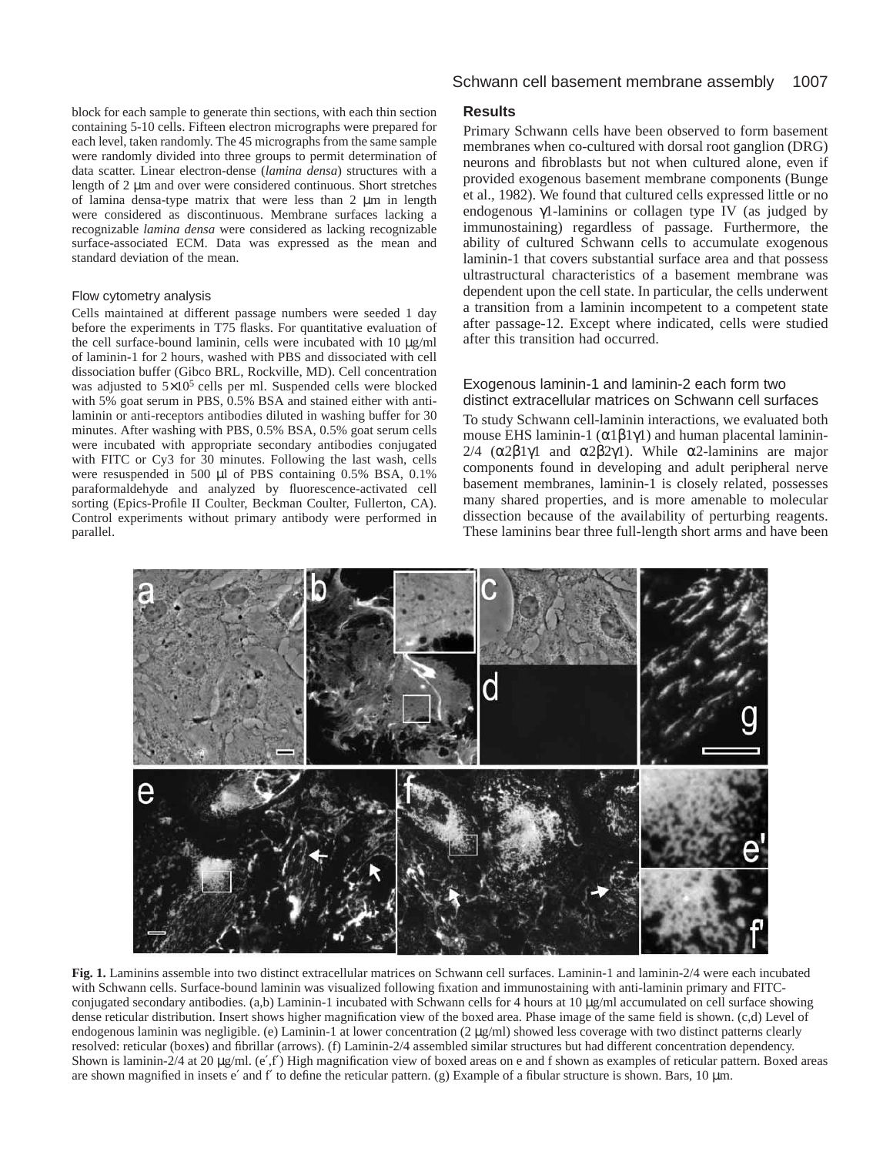block for each sample to generate thin sections, with each thin section containing 5-10 cells. Fifteen electron micrographs were prepared for each level, taken randomly. The 45 micrographs from the same sample were randomly divided into three groups to permit determination of data scatter. Linear electron-dense (*lamina densa*) structures with a length of 2 µm and over were considered continuous. Short stretches of lamina densa-type matrix that were less than 2 µm in length were considered as discontinuous. Membrane surfaces lacking a recognizable *lamina densa* were considered as lacking recognizable surface-associated ECM. Data was expressed as the mean and standard deviation of the mean.

### Flow cytometry analysis

Cells maintained at different passage numbers were seeded 1 day before the experiments in T75 flasks. For quantitative evaluation of the cell surface-bound laminin, cells were incubated with 10 µg/ml of laminin-1 for 2 hours, washed with PBS and dissociated with cell dissociation buffer (Gibco BRL, Rockville, MD). Cell concentration was adjusted to  $5\times10^5$  cells per ml. Suspended cells were blocked with 5% goat serum in PBS, 0.5% BSA and stained either with antilaminin or anti-receptors antibodies diluted in washing buffer for 30 minutes. After washing with PBS, 0.5% BSA, 0.5% goat serum cells were incubated with appropriate secondary antibodies conjugated with FITC or Cy3 for 30 minutes. Following the last wash, cells were resuspended in 500 µl of PBS containing 0.5% BSA, 0.1% paraformaldehyde and analyzed by fluorescence-activated cell sorting (Epics-Profile II Coulter, Beckman Coulter, Fullerton, CA). Control experiments without primary antibody were performed in parallel.

# **Results**

Primary Schwann cells have been observed to form basement membranes when co-cultured with dorsal root ganglion (DRG) neurons and fibroblasts but not when cultured alone, even if provided exogenous basement membrane components (Bunge et al., 1982). We found that cultured cells expressed little or no endogenous γ1-laminins or collagen type IV (as judged by immunostaining) regardless of passage. Furthermore, the ability of cultured Schwann cells to accumulate exogenous laminin-1 that covers substantial surface area and that possess ultrastructural characteristics of a basement membrane was dependent upon the cell state. In particular, the cells underwent a transition from a laminin incompetent to a competent state after passage-12. Except where indicated, cells were studied after this transition had occurred.

### Exogenous laminin-1 and laminin-2 each form two distinct extracellular matrices on Schwann cell surfaces

To study Schwann cell-laminin interactions, we evaluated both mouse EHS laminin-1 ( $\alpha$ 1 $\beta$ 1 $\gamma$ 1) and human placental laminin-2/4 (α2β1γ1 and α2β2γ1). While α2-laminins are major components found in developing and adult peripheral nerve basement membranes, laminin-1 is closely related, possesses many shared properties, and is more amenable to molecular dissection because of the availability of perturbing reagents. These laminins bear three full-length short arms and have been



**Fig. 1.** Laminins assemble into two distinct extracellular matrices on Schwann cell surfaces. Laminin-1 and laminin-2/4 were each incubated with Schwann cells. Surface-bound laminin was visualized following fixation and immunostaining with anti-laminin primary and FITCconjugated secondary antibodies. (a,b) Laminin-1 incubated with Schwann cells for 4 hours at 10 µg/ml accumulated on cell surface showing dense reticular distribution. Insert shows higher magnification view of the boxed area. Phase image of the same field is shown. (c,d) Level of endogenous laminin was negligible. (e) Laminin-1 at lower concentration (2 µg/ml) showed less coverage with two distinct patterns clearly resolved: reticular (boxes) and fibrillar (arrows). (f) Laminin-2/4 assembled similar structures but had different concentration dependency. Shown is laminin-2/4 at 20  $\mu$ g/ml. (e',f') High magnification view of boxed areas on e and f shown as examples of reticular pattern. Boxed areas are shown magnified in insets e' and f' to define the reticular pattern. (g) Example of a fibular structure is shown. Bars, 10  $\mu$ m.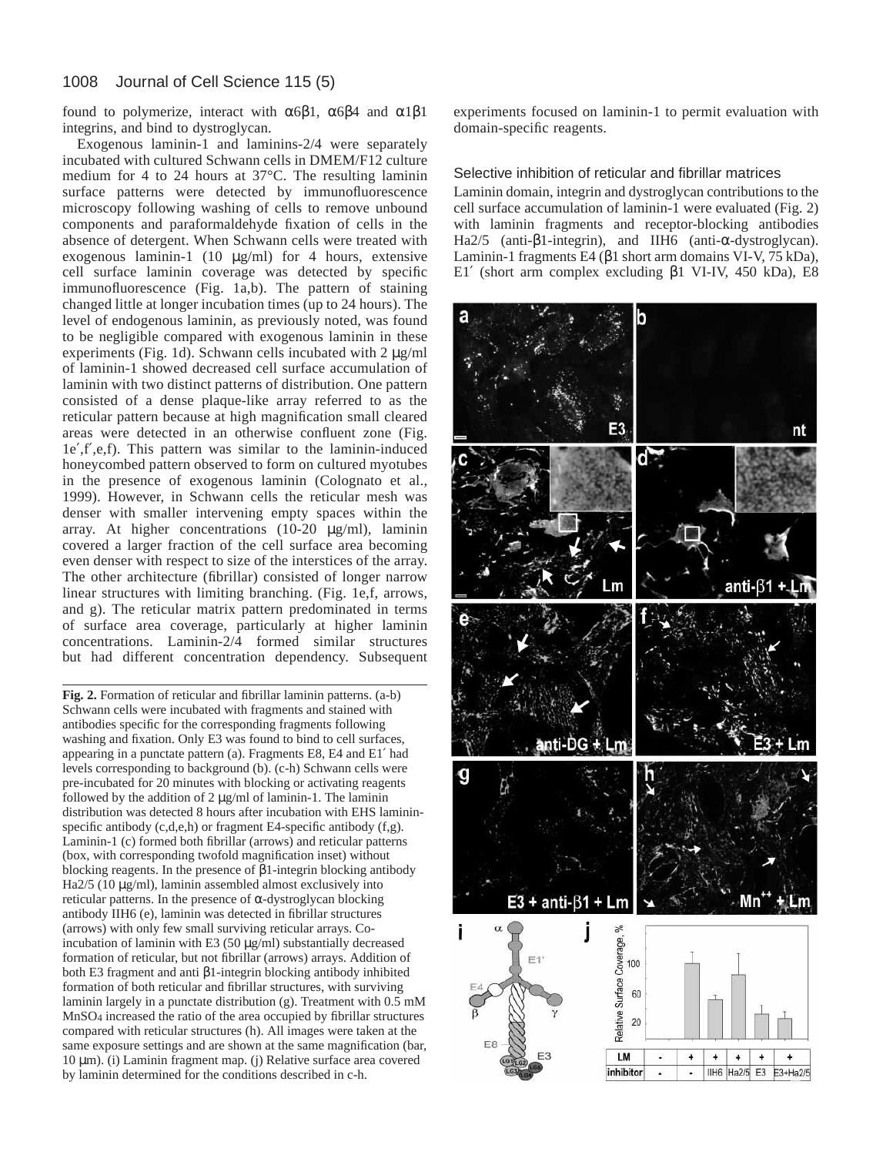found to polymerize, interact with  $\alpha$ 6β1,  $\alpha$ 6β4 and  $\alpha$ 1β1 integrins, and bind to dystroglycan.

Exogenous laminin-1 and laminins-2/4 were separately incubated with cultured Schwann cells in DMEM/F12 culture medium for 4 to 24 hours at 37°C. The resulting laminin surface patterns were detected by immunofluorescence microscopy following washing of cells to remove unbound components and paraformaldehyde fixation of cells in the absence of detergent. When Schwann cells were treated with exogenous laminin-1 (10 µg/ml) for 4 hours, extensive cell surface laminin coverage was detected by specific immunofluorescence (Fig. 1a,b). The pattern of staining changed little at longer incubation times (up to 24 hours). The level of endogenous laminin, as previously noted, was found to be negligible compared with exogenous laminin in these experiments (Fig. 1d). Schwann cells incubated with 2  $\mu$ g/ml of laminin-1 showed decreased cell surface accumulation of laminin with two distinct patterns of distribution. One pattern consisted of a dense plaque-like array referred to as the reticular pattern because at high magnification small cleared areas were detected in an otherwise confluent zone (Fig. 1e′,f′,e,f). This pattern was similar to the laminin-induced honeycombed pattern observed to form on cultured myotubes in the presence of exogenous laminin (Colognato et al., 1999). However, in Schwann cells the reticular mesh was denser with smaller intervening empty spaces within the array. At higher concentrations (10-20 µg/ml), laminin covered a larger fraction of the cell surface area becoming even denser with respect to size of the interstices of the array. The other architecture (fibrillar) consisted of longer narrow linear structures with limiting branching. (Fig. 1e,f, arrows, and g). The reticular matrix pattern predominated in terms of surface area coverage, particularly at higher laminin concentrations. Laminin-2/4 formed similar structures but had different concentration dependency. Subsequent

**Fig. 2.** Formation of reticular and fibrillar laminin patterns. (a-b) Schwann cells were incubated with fragments and stained with antibodies specific for the corresponding fragments following washing and fixation. Only E3 was found to bind to cell surfaces, appearing in a punctate pattern (a). Fragments E8, E4 and E1′ had levels corresponding to background (b). (c-h) Schwann cells were pre-incubated for 20 minutes with blocking or activating reagents followed by the addition of  $2 \mu g/ml$  of laminin-1. The laminin distribution was detected 8 hours after incubation with EHS lamininspecific antibody (c,d,e,h) or fragment E4-specific antibody (f,g). Laminin-1 (c) formed both fibrillar (arrows) and reticular patterns (box, with corresponding twofold magnification inset) without blocking reagents. In the presence of β1-integrin blocking antibody Ha2/5 (10 µg/ml), laminin assembled almost exclusively into reticular patterns. In the presence of α-dystroglycan blocking antibody IIH6 (e), laminin was detected in fibrillar structures (arrows) with only few small surviving reticular arrays. Coincubation of laminin with E3 (50 µg/ml) substantially decreased formation of reticular, but not fibrillar (arrows) arrays. Addition of both E3 fragment and anti β1-integrin blocking antibody inhibited formation of both reticular and fibrillar structures, with surviving laminin largely in a punctate distribution (g). Treatment with 0.5 mM MnSO4 increased the ratio of the area occupied by fibrillar structures compared with reticular structures (h). All images were taken at the same exposure settings and are shown at the same magnification (bar, 10 µm). (i) Laminin fragment map. (j) Relative surface area covered by laminin determined for the conditions described in c-h.

experiments focused on laminin-1 to permit evaluation with domain-specific reagents.

Selective inhibition of reticular and fibrillar matrices Laminin domain, integrin and dystroglycan contributions to the cell surface accumulation of laminin-1 were evaluated (Fig. 2) with laminin fragments and receptor-blocking antibodies Ha2/5 (anti-β1-integrin), and IIH6 (anti-α-dystroglycan). Laminin-1 fragments E4 (β1 short arm domains VI-V, 75 kDa), E1′ (short arm complex excluding β1 VI-IV, 450 kDa), E8

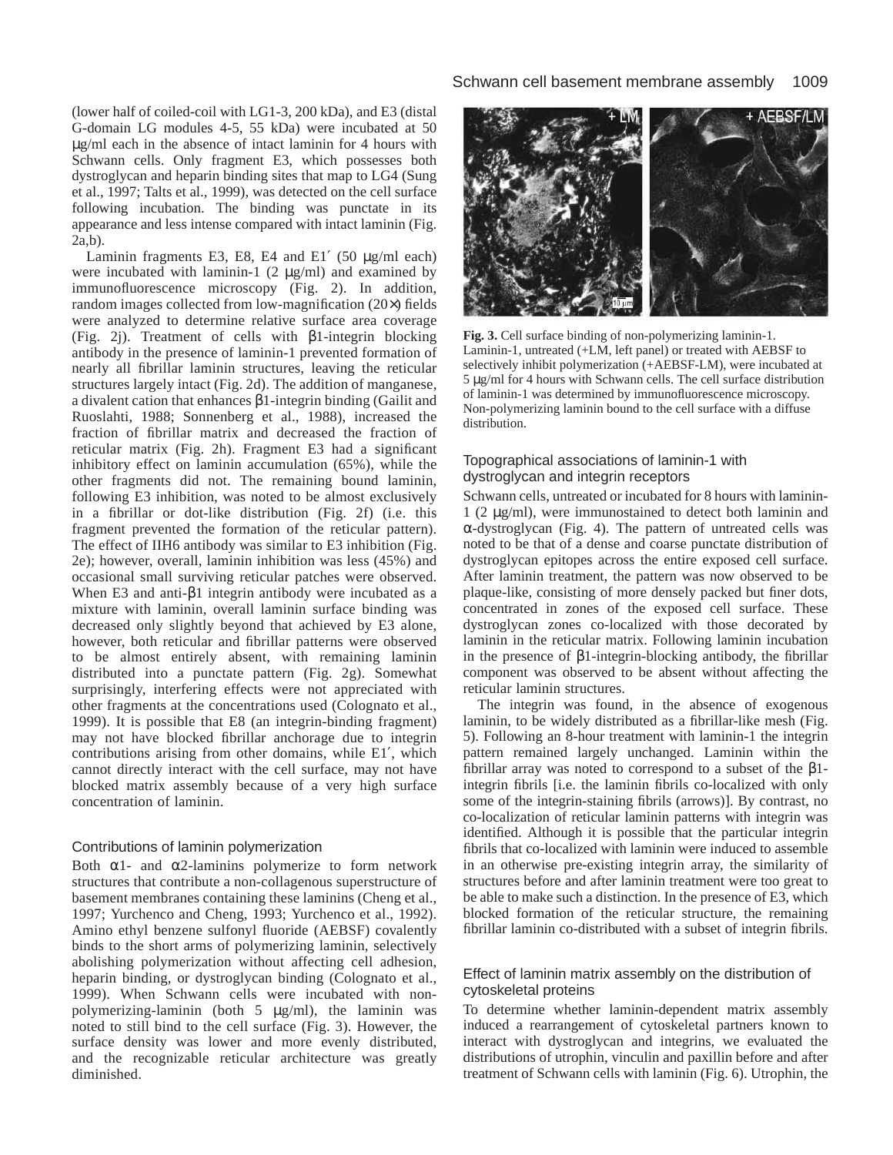(lower half of coiled-coil with LG1-3, 200 kDa), and E3 (distal G-domain LG modules 4-5, 55 kDa) were incubated at 50 µg/ml each in the absence of intact laminin for 4 hours with Schwann cells. Only fragment E3, which possesses both dystroglycan and heparin binding sites that map to LG4 (Sung et al., 1997; Talts et al., 1999), was detected on the cell surface following incubation. The binding was punctate in its appearance and less intense compared with intact laminin (Fig. 2a,b).

Laminin fragments E3, E8, E4 and E1 $'$  (50 µg/ml each) were incubated with laminin-1  $(2 \mu g/ml)$  and examined by immunofluorescence microscopy (Fig. 2). In addition, random images collected from low-magnification (20×) fields were analyzed to determine relative surface area coverage (Fig. 2j). Treatment of cells with β1-integrin blocking antibody in the presence of laminin-1 prevented formation of nearly all fibrillar laminin structures, leaving the reticular structures largely intact (Fig. 2d). The addition of manganese, a divalent cation that enhances β1-integrin binding (Gailit and Ruoslahti, 1988; Sonnenberg et al., 1988), increased the fraction of fibrillar matrix and decreased the fraction of reticular matrix (Fig. 2h). Fragment E3 had a significant inhibitory effect on laminin accumulation (65%), while the other fragments did not. The remaining bound laminin, following E3 inhibition, was noted to be almost exclusively in a fibrillar or dot-like distribution (Fig. 2f) (i.e. this fragment prevented the formation of the reticular pattern). The effect of IIH6 antibody was similar to E3 inhibition (Fig. 2e); however, overall, laminin inhibition was less (45%) and occasional small surviving reticular patches were observed. When E3 and anti-β1 integrin antibody were incubated as a mixture with laminin, overall laminin surface binding was decreased only slightly beyond that achieved by E3 alone, however, both reticular and fibrillar patterns were observed to be almost entirely absent, with remaining laminin distributed into a punctate pattern (Fig. 2g). Somewhat surprisingly, interfering effects were not appreciated with other fragments at the concentrations used (Colognato et al., 1999). It is possible that E8 (an integrin-binding fragment) may not have blocked fibrillar anchorage due to integrin contributions arising from other domains, while E1′, which cannot directly interact with the cell surface, may not have blocked matrix assembly because of a very high surface concentration of laminin.

## Contributions of laminin polymerization

Both  $\alpha$ 1- and  $\alpha$ 2-laminins polymerize to form network structures that contribute a non-collagenous superstructure of basement membranes containing these laminins (Cheng et al., 1997; Yurchenco and Cheng, 1993; Yurchenco et al., 1992). Amino ethyl benzene sulfonyl fluoride (AEBSF) covalently binds to the short arms of polymerizing laminin, selectively abolishing polymerization without affecting cell adhesion, heparin binding, or dystroglycan binding (Colognato et al., 1999). When Schwann cells were incubated with nonpolymerizing-laminin (both 5 µg/ml), the laminin was noted to still bind to the cell surface (Fig. 3). However, the surface density was lower and more evenly distributed, and the recognizable reticular architecture was greatly diminished.



**Fig. 3.** Cell surface binding of non-polymerizing laminin-1. Laminin-1, untreated (+LM, left panel) or treated with AEBSF to selectively inhibit polymerization (+AEBSF-LM), were incubated at 5 µg/ml for 4 hours with Schwann cells. The cell surface distribution of laminin-1 was determined by immunofluorescence microscopy. Non-polymerizing laminin bound to the cell surface with a diffuse distribution.

# Topographical associations of laminin-1 with dystroglycan and integrin receptors

Schwann cells, untreated or incubated for 8 hours with laminin-1 (2 µg/ml), were immunostained to detect both laminin and α-dystroglycan (Fig. 4). The pattern of untreated cells was noted to be that of a dense and coarse punctate distribution of dystroglycan epitopes across the entire exposed cell surface. After laminin treatment, the pattern was now observed to be plaque-like, consisting of more densely packed but finer dots, concentrated in zones of the exposed cell surface. These dystroglycan zones co-localized with those decorated by laminin in the reticular matrix. Following laminin incubation in the presence of β1-integrin-blocking antibody, the fibrillar component was observed to be absent without affecting the reticular laminin structures.

The integrin was found, in the absence of exogenous laminin, to be widely distributed as a fibrillar-like mesh (Fig. 5). Following an 8-hour treatment with laminin-1 the integrin pattern remained largely unchanged. Laminin within the fibrillar array was noted to correspond to a subset of the β1 integrin fibrils [i.e. the laminin fibrils co-localized with only some of the integrin-staining fibrils (arrows)]. By contrast, no co-localization of reticular laminin patterns with integrin was identified. Although it is possible that the particular integrin fibrils that co-localized with laminin were induced to assemble in an otherwise pre-existing integrin array, the similarity of structures before and after laminin treatment were too great to be able to make such a distinction. In the presence of E3, which blocked formation of the reticular structure, the remaining fibrillar laminin co-distributed with a subset of integrin fibrils.

# Effect of laminin matrix assembly on the distribution of cytoskeletal proteins

To determine whether laminin-dependent matrix assembly induced a rearrangement of cytoskeletal partners known to interact with dystroglycan and integrins, we evaluated the distributions of utrophin, vinculin and paxillin before and after treatment of Schwann cells with laminin (Fig. 6). Utrophin, the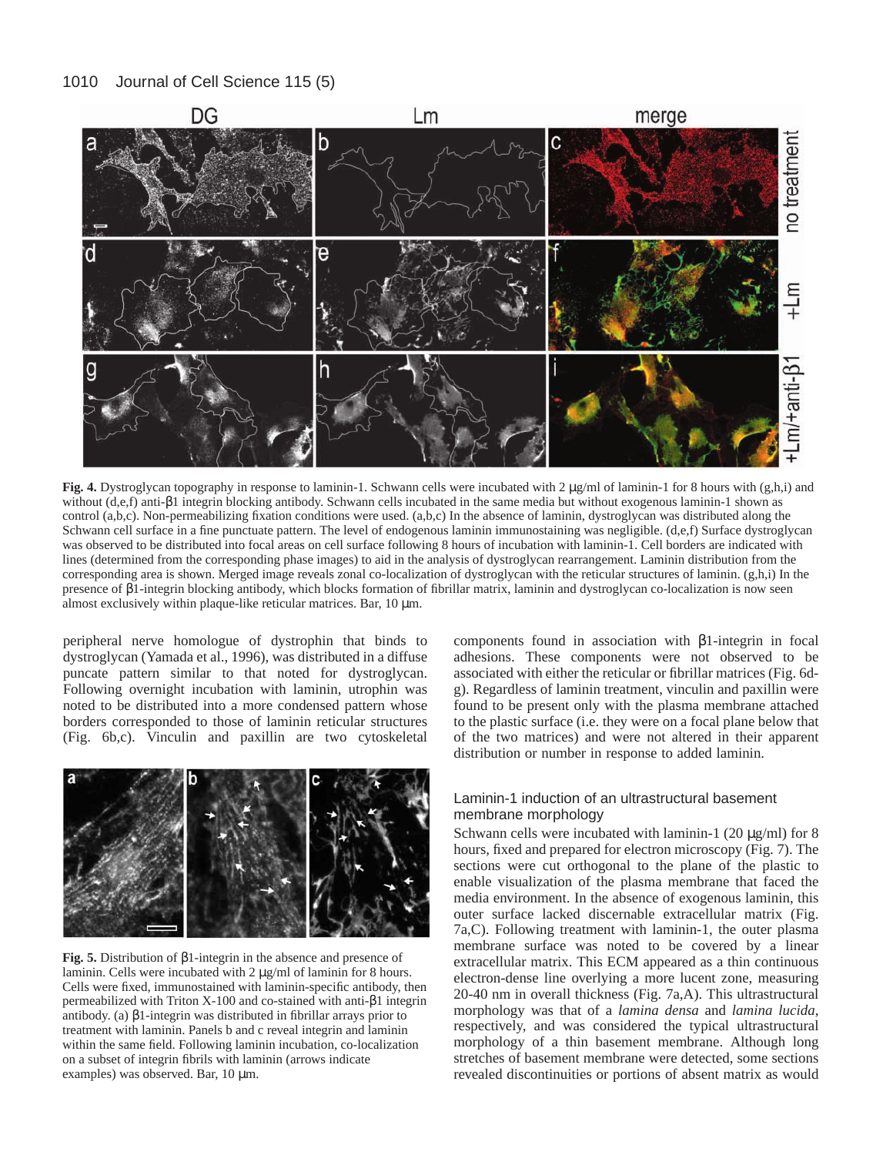

**Fig. 4.** Dystroglycan topography in response to laminin-1. Schwann cells were incubated with 2 µg/ml of laminin-1 for 8 hours with (g,h,i) and without (d,e,f) anti-β1 integrin blocking antibody. Schwann cells incubated in the same media but without exogenous laminin-1 shown as control (a,b,c). Non-permeabilizing fixation conditions were used. (a,b,c) In the absence of laminin, dystroglycan was distributed along the Schwann cell surface in a fine punctuate pattern. The level of endogenous laminin immunostaining was negligible. (d,e,f) Surface dystroglycan was observed to be distributed into focal areas on cell surface following 8 hours of incubation with laminin-1. Cell borders are indicated with lines (determined from the corresponding phase images) to aid in the analysis of dystroglycan rearrangement. Laminin distribution from the corresponding area is shown. Merged image reveals zonal co-localization of dystroglycan with the reticular structures of laminin. (g,h,i) In the presence of β1-integrin blocking antibody, which blocks formation of fibrillar matrix, laminin and dystroglycan co-localization is now seen almost exclusively within plaque-like reticular matrices. Bar,  $10 \mu m$ .

peripheral nerve homologue of dystrophin that binds to dystroglycan (Yamada et al., 1996), was distributed in a diffuse puncate pattern similar to that noted for dystroglycan. Following overnight incubation with laminin, utrophin was noted to be distributed into a more condensed pattern whose borders corresponded to those of laminin reticular structures (Fig. 6b,c). Vinculin and paxillin are two cytoskeletal



**Fig. 5.** Distribution of β1-integrin in the absence and presence of laminin. Cells were incubated with 2  $\mu$ g/ml of laminin for 8 hours. Cells were fixed, immunostained with laminin-specific antibody, then permeabilized with Triton X-100 and co-stained with anti-β1 integrin antibody. (a) β1-integrin was distributed in fibrillar arrays prior to treatment with laminin. Panels b and c reveal integrin and laminin within the same field. Following laminin incubation, co-localization on a subset of integrin fibrils with laminin (arrows indicate examples) was observed. Bar, 10  $\mu$ m.

components found in association with β1-integrin in focal adhesions. These components were not observed to be associated with either the reticular or fibrillar matrices (Fig. 6dg). Regardless of laminin treatment, vinculin and paxillin were found to be present only with the plasma membrane attached to the plastic surface (i.e. they were on a focal plane below that of the two matrices) and were not altered in their apparent distribution or number in response to added laminin.

# Laminin-1 induction of an ultrastructural basement membrane morphology

Schwann cells were incubated with laminin-1 (20  $\mu$ g/ml) for 8 hours, fixed and prepared for electron microscopy (Fig. 7). The sections were cut orthogonal to the plane of the plastic to enable visualization of the plasma membrane that faced the media environment. In the absence of exogenous laminin, this outer surface lacked discernable extracellular matrix (Fig. 7a,C). Following treatment with laminin-1, the outer plasma membrane surface was noted to be covered by a linear extracellular matrix. This ECM appeared as a thin continuous electron-dense line overlying a more lucent zone, measuring 20-40 nm in overall thickness (Fig. 7a,A). This ultrastructural morphology was that of a *lamina densa* and *lamina lucida*, respectively, and was considered the typical ultrastructural morphology of a thin basement membrane. Although long stretches of basement membrane were detected, some sections revealed discontinuities or portions of absent matrix as would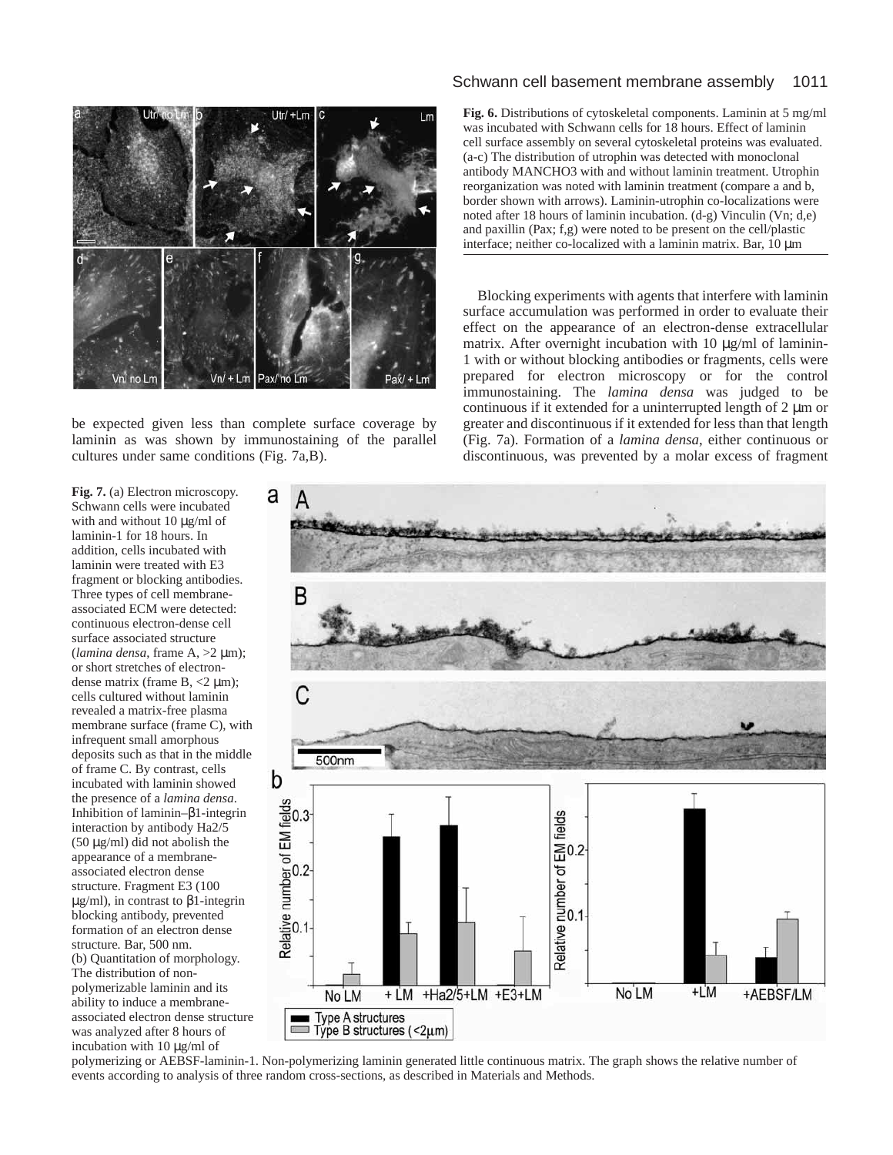

be expected given less than complete surface coverage by laminin as was shown by immunostaining of the parallel cultures under same conditions (Fig. 7a,B).

Schwann cell basement membrane assembly 1011

**Fig. 6.** Distributions of cytoskeletal components. Laminin at 5 mg/ml was incubated with Schwann cells for 18 hours. Effect of laminin cell surface assembly on several cytoskeletal proteins was evaluated. (a-c) The distribution of utrophin was detected with monoclonal antibody MANCHO3 with and without laminin treatment. Utrophin reorganization was noted with laminin treatment (compare a and b, border shown with arrows). Laminin-utrophin co-localizations were noted after 18 hours of laminin incubation. (d-g) Vinculin (Vn; d,e) and paxillin (Pax; f,g) were noted to be present on the cell/plastic interface; neither co-localized with a laminin matrix. Bar, 10 µm

Blocking experiments with agents that interfere with laminin surface accumulation was performed in order to evaluate their effect on the appearance of an electron-dense extracellular matrix. After overnight incubation with 10 µg/ml of laminin-1 with or without blocking antibodies or fragments, cells were prepared for electron microscopy or for the control immunostaining. The *lamina densa* was judged to be continuous if it extended for a uninterrupted length of  $2 \mu m$  or greater and discontinuous if it extended for less than that length (Fig. 7a). Formation of a *lamina densa*, either continuous or discontinuous, was prevented by a molar excess of fragment



polymerizing or AEBSF-laminin-1. Non-polymerizing laminin generated little continuous matrix. The graph shows the relative number of events according to analysis of three random cross-sections, as described in Materials and Methods.

**Fig. 7.** (a) Electron microscopy. Schwann cells were incubated with and without 10 µg/ml of laminin-1 for 18 hours. In addition, cells incubated with laminin were treated with E3 fragment or blocking antibodies. Three types of cell membraneassociated ECM were detected: continuous electron-dense cell surface associated structure (*lamina densa*, frame A, >2 µm); or short stretches of electrondense matrix (frame  $B$ ,  $\lt 2 \mu m$ ); cells cultured without laminin revealed a matrix-free plasma membrane surface (frame C), with infrequent small amorphous deposits such as that in the middle of frame C. By contrast, cells incubated with laminin showed the presence of a *lamina densa*. Inhibition of laminin–β1-integrin interaction by antibody Ha2/5 (50 µg/ml) did not abolish the appearance of a membraneassociated electron dense structure. Fragment E3 (100 µg/ml), in contrast to β1-integrin blocking antibody, prevented formation of an electron dense structure*.* Bar, 500 nm. (b) Quantitation of morphology. The distribution of nonpolymerizable laminin and its ability to induce a membraneassociated electron dense structure was analyzed after 8 hours of incubation with 10 µg/ml of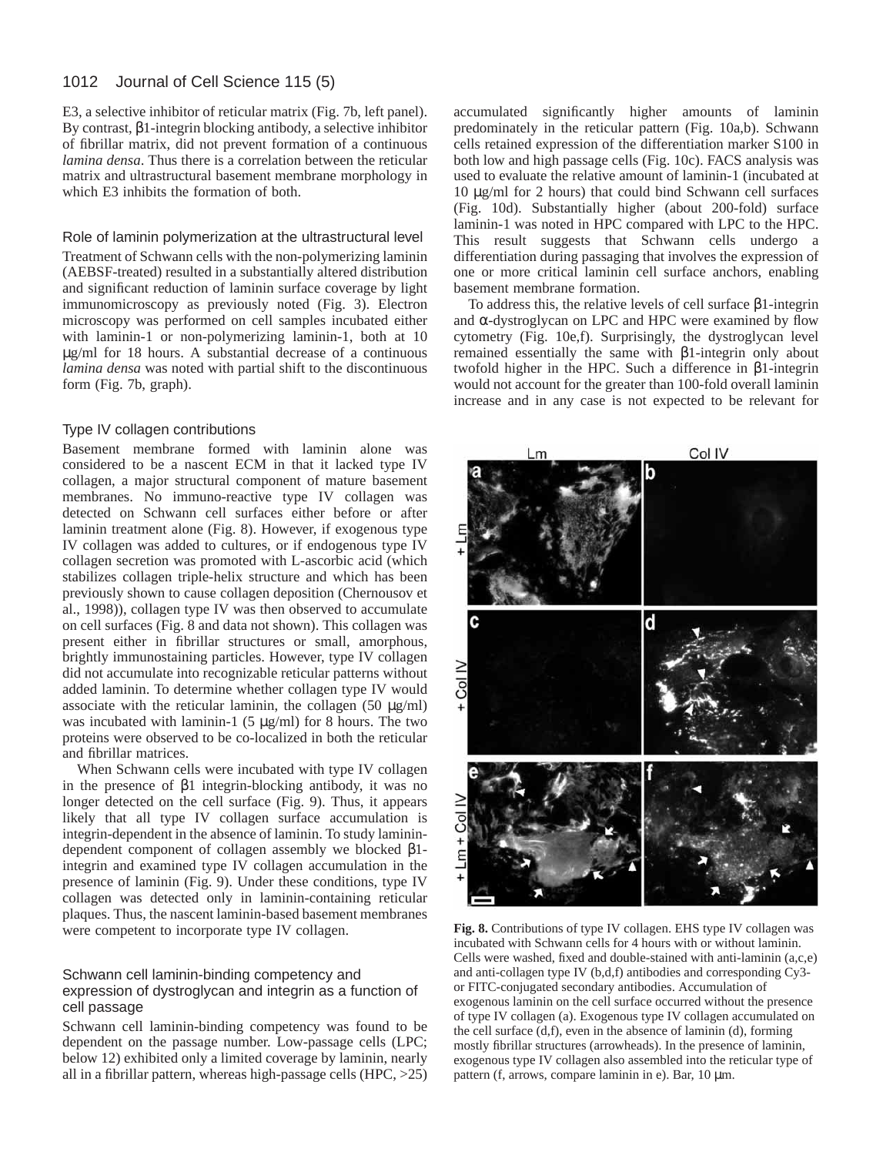E3, a selective inhibitor of reticular matrix (Fig. 7b, left panel). By contrast, β1-integrin blocking antibody, a selective inhibitor of fibrillar matrix, did not prevent formation of a continuous *lamina densa*. Thus there is a correlation between the reticular matrix and ultrastructural basement membrane morphology in which E3 inhibits the formation of both.

### Role of laminin polymerization at the ultrastructural level

Treatment of Schwann cells with the non-polymerizing laminin (AEBSF-treated) resulted in a substantially altered distribution and significant reduction of laminin surface coverage by light immunomicroscopy as previously noted (Fig. 3). Electron microscopy was performed on cell samples incubated either with laminin-1 or non-polymerizing laminin-1, both at 10 µg/ml for 18 hours. A substantial decrease of a continuous *lamina densa* was noted with partial shift to the discontinuous form (Fig. 7b, graph).

## Type IV collagen contributions

Basement membrane formed with laminin alone was considered to be a nascent ECM in that it lacked type IV collagen, a major structural component of mature basement membranes. No immuno-reactive type IV collagen was detected on Schwann cell surfaces either before or after laminin treatment alone (Fig. 8). However, if exogenous type IV collagen was added to cultures, or if endogenous type IV collagen secretion was promoted with L-ascorbic acid (which stabilizes collagen triple-helix structure and which has been previously shown to cause collagen deposition (Chernousov et al., 1998)), collagen type IV was then observed to accumulate on cell surfaces (Fig. 8 and data not shown). This collagen was present either in fibrillar structures or small, amorphous, brightly immunostaining particles. However, type IV collagen did not accumulate into recognizable reticular patterns without added laminin. To determine whether collagen type IV would associate with the reticular laminin, the collagen  $(50 \mu g/ml)$ was incubated with laminin-1 (5  $\mu$ g/ml) for 8 hours. The two proteins were observed to be co-localized in both the reticular and fibrillar matrices.

When Schwann cells were incubated with type IV collagen in the presence of β1 integrin-blocking antibody, it was no longer detected on the cell surface (Fig. 9). Thus, it appears likely that all type IV collagen surface accumulation is integrin-dependent in the absence of laminin. To study laminindependent component of collagen assembly we blocked β1 integrin and examined type IV collagen accumulation in the presence of laminin (Fig. 9). Under these conditions, type IV collagen was detected only in laminin-containing reticular plaques. Thus, the nascent laminin-based basement membranes were competent to incorporate type IV collagen.

### Schwann cell laminin-binding competency and expression of dystroglycan and integrin as a function of cell passage

Schwann cell laminin-binding competency was found to be dependent on the passage number. Low-passage cells (LPC; below 12) exhibited only a limited coverage by laminin, nearly all in a fibrillar pattern, whereas high-passage cells (HPC, >25)

accumulated significantly higher amounts of laminin predominately in the reticular pattern (Fig. 10a,b). Schwann cells retained expression of the differentiation marker S100 in both low and high passage cells (Fig. 10c). FACS analysis was used to evaluate the relative amount of laminin-1 (incubated at 10 µg/ml for 2 hours) that could bind Schwann cell surfaces (Fig. 10d). Substantially higher (about 200-fold) surface laminin-1 was noted in HPC compared with LPC to the HPC. This result suggests that Schwann cells undergo a differentiation during passaging that involves the expression of one or more critical laminin cell surface anchors, enabling basement membrane formation.

To address this, the relative levels of cell surface β1-integrin and  $\alpha$ -dystroglycan on LPC and HPC were examined by flow cytometry (Fig. 10e,f). Surprisingly, the dystroglycan level remained essentially the same with β1-integrin only about twofold higher in the HPC. Such a difference in β1-integrin would not account for the greater than 100-fold overall laminin increase and in any case is not expected to be relevant for



**Fig. 8.** Contributions of type IV collagen. EHS type IV collagen was incubated with Schwann cells for 4 hours with or without laminin. Cells were washed, fixed and double-stained with anti-laminin (a,c,e) and anti-collagen type IV (b,d,f) antibodies and corresponding Cy3 or FITC-conjugated secondary antibodies. Accumulation of exogenous laminin on the cell surface occurred without the presence of type IV collagen (a). Exogenous type IV collagen accumulated on the cell surface  $(d,f)$ , even in the absence of laminin  $(d)$ , forming mostly fibrillar structures (arrowheads). In the presence of laminin, exogenous type IV collagen also assembled into the reticular type of pattern (f, arrows, compare laminin in e). Bar, 10 µm.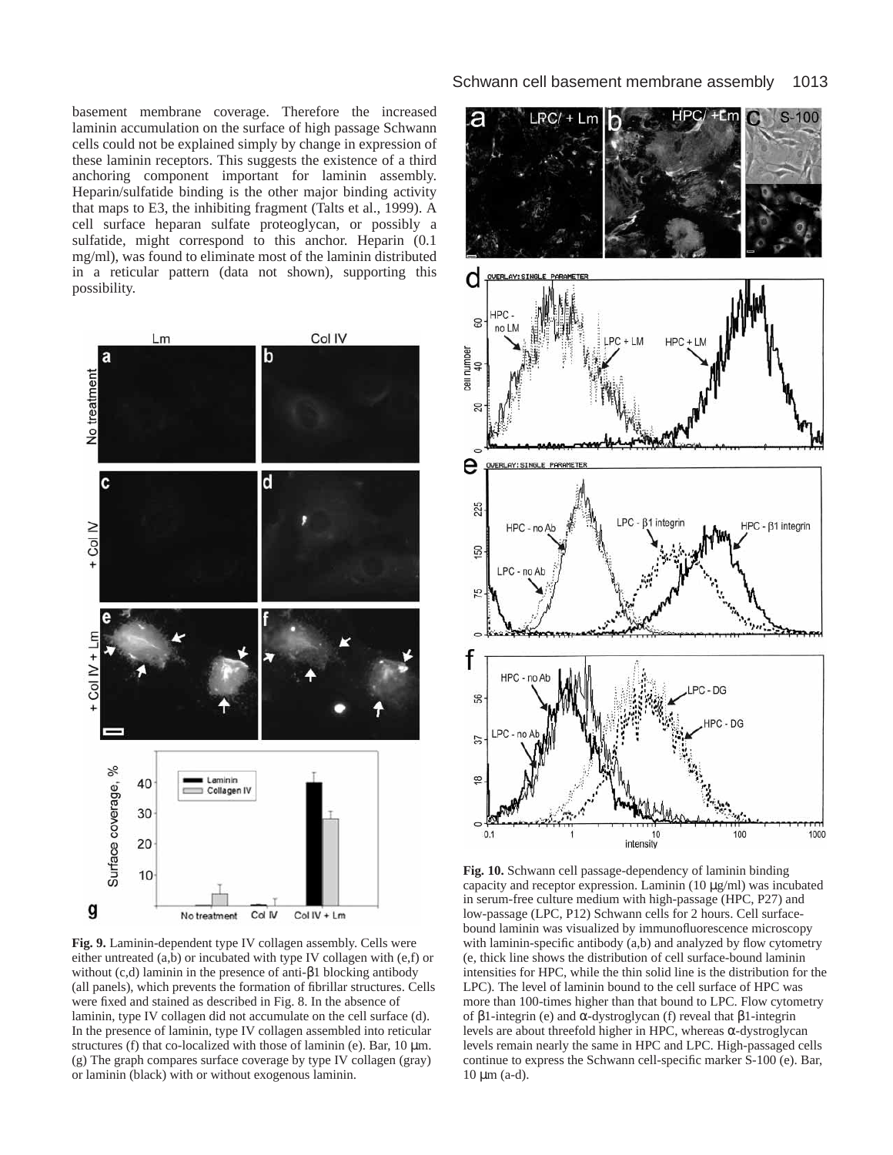basement membrane coverage. Therefore the increased laminin accumulation on the surface of high passage Schwann cells could not be explained simply by change in expression of these laminin receptors. This suggests the existence of a third anchoring component important for laminin assembly. Heparin/sulfatide binding is the other major binding activity that maps to E3, the inhibiting fragment (Talts et al., 1999). A cell surface heparan sulfate proteoglycan, or possibly a sulfatide, might correspond to this anchor. Heparin (0.1 mg/ml), was found to eliminate most of the laminin distributed in a reticular pattern (data not shown), supporting this possibility.



**Fig. 9.** Laminin-dependent type IV collagen assembly. Cells were either untreated (a,b) or incubated with type IV collagen with (e,f) or without (c,d) laminin in the presence of anti-β1 blocking antibody (all panels), which prevents the formation of fibrillar structures. Cells were fixed and stained as described in Fig. 8. In the absence of laminin, type IV collagen did not accumulate on the cell surface (d). In the presence of laminin, type IV collagen assembled into reticular structures (f) that co-localized with those of laminin (e). Bar,  $10 \mu m$ . (g) The graph compares surface coverage by type IV collagen (gray) or laminin (black) with or without exogenous laminin.



**Fig. 10.** Schwann cell passage-dependency of laminin binding capacity and receptor expression. Laminin  $(10 \mu g/ml)$  was incubated in serum-free culture medium with high-passage (HPC, P27) and low-passage (LPC, P12) Schwann cells for 2 hours. Cell surfacebound laminin was visualized by immunofluorescence microscopy with laminin-specific antibody (a,b) and analyzed by flow cytometry (e, thick line shows the distribution of cell surface-bound laminin intensities for HPC, while the thin solid line is the distribution for the LPC). The level of laminin bound to the cell surface of HPC was more than 100-times higher than that bound to LPC. Flow cytometry of β1-integrin (e) and α-dystroglycan (f) reveal that β1-integrin levels are about threefold higher in HPC, whereas α-dystroglycan levels remain nearly the same in HPC and LPC. High-passaged cells continue to express the Schwann cell-specific marker S-100 (e). Bar,  $10 \mu m$  (a-d).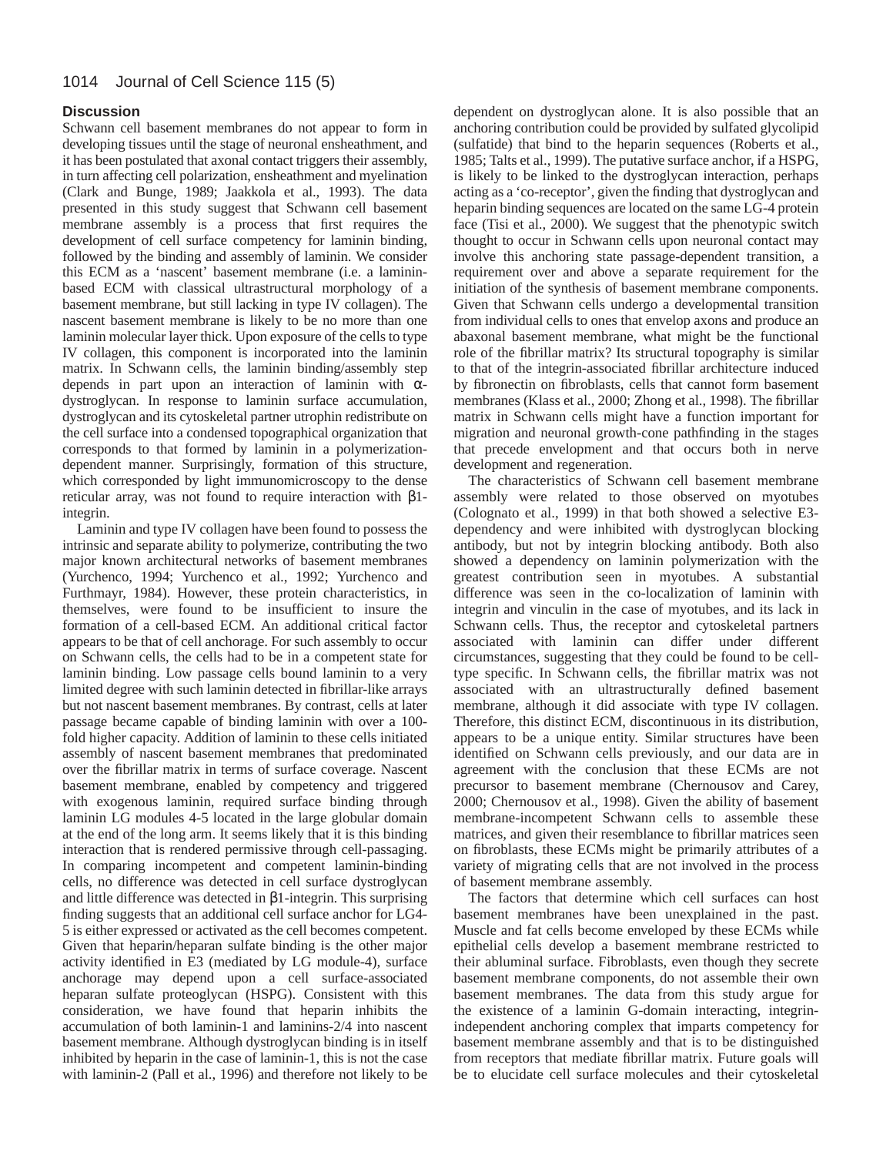# **Discussion**

Schwann cell basement membranes do not appear to form in developing tissues until the stage of neuronal ensheathment, and it has been postulated that axonal contact triggers their assembly, in turn affecting cell polarization, ensheathment and myelination (Clark and Bunge, 1989; Jaakkola et al., 1993). The data presented in this study suggest that Schwann cell basement membrane assembly is a process that first requires the development of cell surface competency for laminin binding, followed by the binding and assembly of laminin. We consider this ECM as a 'nascent' basement membrane (i.e. a lamininbased ECM with classical ultrastructural morphology of a basement membrane, but still lacking in type IV collagen). The nascent basement membrane is likely to be no more than one laminin molecular layer thick. Upon exposure of the cells to type IV collagen, this component is incorporated into the laminin matrix. In Schwann cells, the laminin binding/assembly step depends in part upon an interaction of laminin with  $\alpha$ dystroglycan. In response to laminin surface accumulation, dystroglycan and its cytoskeletal partner utrophin redistribute on the cell surface into a condensed topographical organization that corresponds to that formed by laminin in a polymerizationdependent manner. Surprisingly, formation of this structure, which corresponded by light immunomicroscopy to the dense reticular array, was not found to require interaction with β1 integrin.

Laminin and type IV collagen have been found to possess the intrinsic and separate ability to polymerize, contributing the two major known architectural networks of basement membranes (Yurchenco, 1994; Yurchenco et al., 1992; Yurchenco and Furthmayr, 1984). However, these protein characteristics, in themselves, were found to be insufficient to insure the formation of a cell-based ECM. An additional critical factor appears to be that of cell anchorage. For such assembly to occur on Schwann cells, the cells had to be in a competent state for laminin binding. Low passage cells bound laminin to a very limited degree with such laminin detected in fibrillar-like arrays but not nascent basement membranes. By contrast, cells at later passage became capable of binding laminin with over a 100 fold higher capacity. Addition of laminin to these cells initiated assembly of nascent basement membranes that predominated over the fibrillar matrix in terms of surface coverage. Nascent basement membrane, enabled by competency and triggered with exogenous laminin, required surface binding through laminin LG modules 4-5 located in the large globular domain at the end of the long arm. It seems likely that it is this binding interaction that is rendered permissive through cell-passaging. In comparing incompetent and competent laminin-binding cells, no difference was detected in cell surface dystroglycan and little difference was detected in β1-integrin. This surprising finding suggests that an additional cell surface anchor for LG4- 5 is either expressed or activated as the cell becomes competent. Given that heparin/heparan sulfate binding is the other major activity identified in E3 (mediated by LG module-4), surface anchorage may depend upon a cell surface-associated heparan sulfate proteoglycan (HSPG). Consistent with this consideration, we have found that heparin inhibits the accumulation of both laminin-1 and laminins-2/4 into nascent basement membrane. Although dystroglycan binding is in itself inhibited by heparin in the case of laminin-1, this is not the case with laminin-2 (Pall et al., 1996) and therefore not likely to be

dependent on dystroglycan alone. It is also possible that an anchoring contribution could be provided by sulfated glycolipid (sulfatide) that bind to the heparin sequences (Roberts et al., 1985; Talts et al., 1999). The putative surface anchor, if a HSPG, is likely to be linked to the dystroglycan interaction, perhaps acting as a 'co-receptor', given the finding that dystroglycan and heparin binding sequences are located on the same LG-4 protein face (Tisi et al., 2000). We suggest that the phenotypic switch thought to occur in Schwann cells upon neuronal contact may involve this anchoring state passage-dependent transition, a requirement over and above a separate requirement for the initiation of the synthesis of basement membrane components. Given that Schwann cells undergo a developmental transition from individual cells to ones that envelop axons and produce an abaxonal basement membrane, what might be the functional role of the fibrillar matrix? Its structural topography is similar to that of the integrin-associated fibrillar architecture induced by fibronectin on fibroblasts, cells that cannot form basement membranes (Klass et al., 2000; Zhong et al., 1998). The fibrillar matrix in Schwann cells might have a function important for migration and neuronal growth-cone pathfinding in the stages that precede envelopment and that occurs both in nerve development and regeneration.

The characteristics of Schwann cell basement membrane assembly were related to those observed on myotubes (Colognato et al., 1999) in that both showed a selective E3 dependency and were inhibited with dystroglycan blocking antibody, but not by integrin blocking antibody. Both also showed a dependency on laminin polymerization with the greatest contribution seen in myotubes. A substantial difference was seen in the co-localization of laminin with integrin and vinculin in the case of myotubes, and its lack in Schwann cells. Thus, the receptor and cytoskeletal partners associated with laminin can differ under different circumstances, suggesting that they could be found to be celltype specific. In Schwann cells, the fibrillar matrix was not associated with an ultrastructurally defined basement membrane, although it did associate with type IV collagen. Therefore, this distinct ECM, discontinuous in its distribution, appears to be a unique entity. Similar structures have been identified on Schwann cells previously, and our data are in agreement with the conclusion that these ECMs are not precursor to basement membrane (Chernousov and Carey, 2000; Chernousov et al., 1998). Given the ability of basement membrane-incompetent Schwann cells to assemble these matrices, and given their resemblance to fibrillar matrices seen on fibroblasts, these ECMs might be primarily attributes of a variety of migrating cells that are not involved in the process of basement membrane assembly.

The factors that determine which cell surfaces can host basement membranes have been unexplained in the past. Muscle and fat cells become enveloped by these ECMs while epithelial cells develop a basement membrane restricted to their abluminal surface. Fibroblasts, even though they secrete basement membrane components, do not assemble their own basement membranes. The data from this study argue for the existence of a laminin G-domain interacting, integrinindependent anchoring complex that imparts competency for basement membrane assembly and that is to be distinguished from receptors that mediate fibrillar matrix. Future goals will be to elucidate cell surface molecules and their cytoskeletal